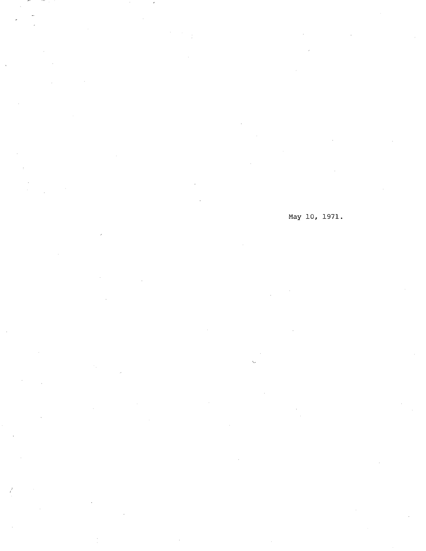May 10, 1971.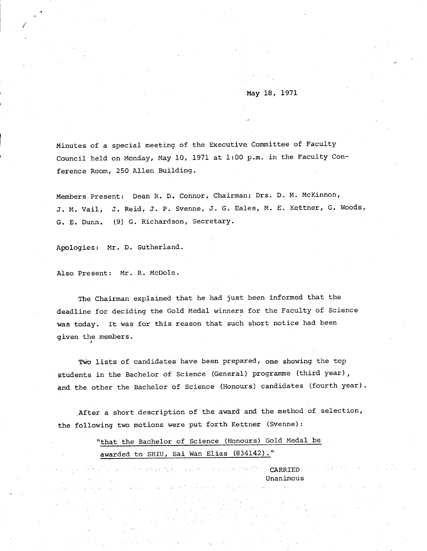May 18, 1971

r

Minutes of a special meeting of the Executive Committee of Faculty Council held on Monday, May 10, 1971 at 1:00 p.m. in the Faculty Conference Room, 250 Allen Building.

Members Present: Dean R. D. Connor, Chairman; Drs. D. M. McKinnon, J. M. Vail, J. Reid, J. P. Svenne, J. G. Eales, M. E. Kettner, G. Woods, G. E. Dunn. (9) G. Richardson, Secretary.

Apologies: Mr. D. Sutherland.

Also Present: Mr. R. McDole.

The Chairman explained that he had just been informed that the deadline for deciding the Gold Medal winners for the Faculty of Science was today. It was for this reason that such short notice had been given the members.

Two lists of candidates have been prepared, one showing the top students in the Bachelor of Science (General) programme (third year), and. the other the Bachelor of Science (Honours) candidates (fourth year).

After a short description of the award and the method of selection, the following two motions were put forth Kettner (Svenne):

> "that the Bachelor of Science (Honours) Gold Medal be awarded to SHIU, Sai Wan Elias (834142)."

. **CARRIED** Unanimous